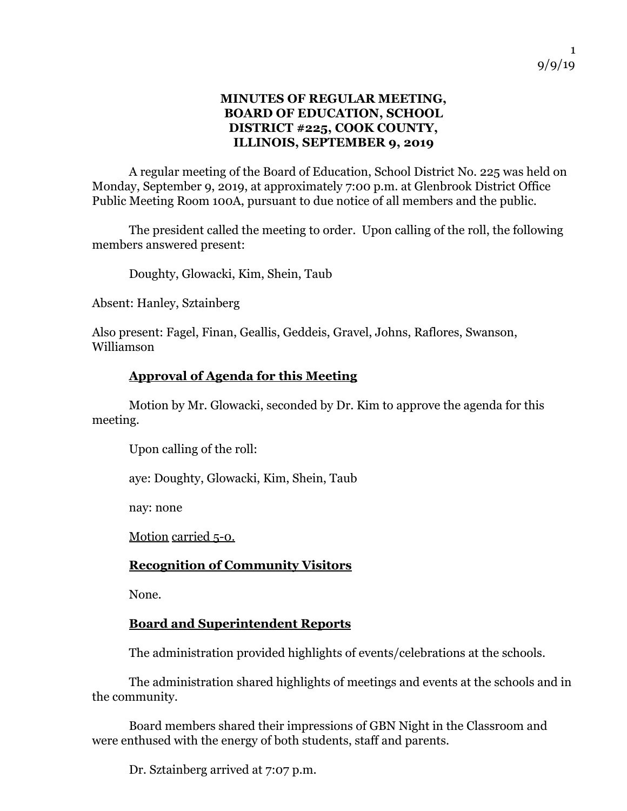#### **MINUTES OF REGULAR MEETING, BOARD OF EDUCATION, SCHOOL DISTRICT #225, COOK COUNTY, ILLINOIS, SEPTEMBER 9, 2019**

A regular meeting of the Board of Education, School District No. 225 was held on Monday, September 9, 2019, at approximately 7:00 p.m. at Glenbrook District Office Public Meeting Room 100A, pursuant to due notice of all members and the public.

The president called the meeting to order. Upon calling of the roll, the following members answered present:

Doughty, Glowacki, Kim, Shein, Taub

Absent: Hanley, Sztainberg

Also present: Fagel, Finan, Geallis, Geddeis, Gravel, Johns, Raflores, Swanson, Williamson

#### **Approval of Agenda for this Meeting**

Motion by Mr. Glowacki, seconded by Dr. Kim to approve the agenda for this meeting.

Upon calling of the roll:

aye: Doughty, Glowacki, Kim, Shein, Taub

nay: none

Motion carried 5-0.

## **Recognition of Community Visitors**

None.

## **Board and Superintendent Reports**

The administration provided highlights of events/celebrations at the schools.

The administration shared highlights of meetings and events at the schools and in the community.

Board members shared their impressions of GBN Night in the Classroom and were enthused with the energy of both students, staff and parents.

Dr. Sztainberg arrived at 7:07 p.m.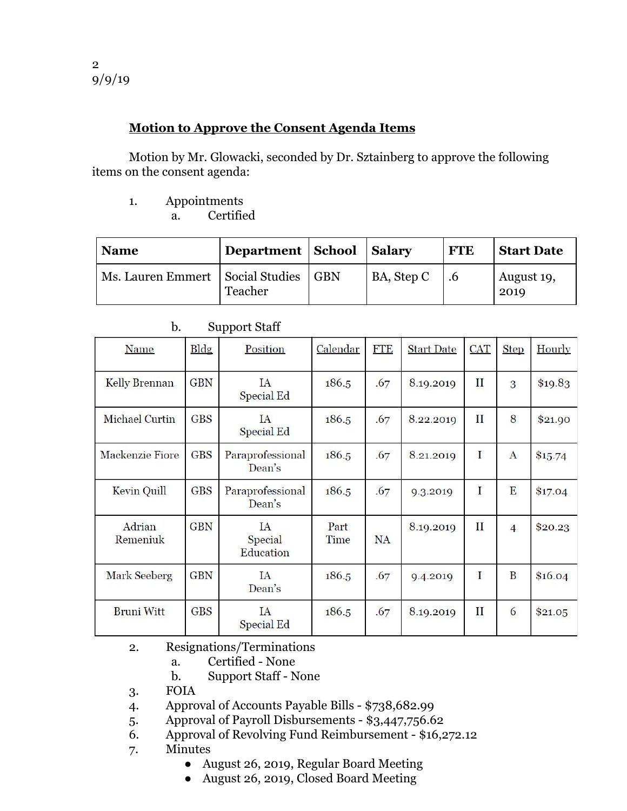### **Motion to Approve the Consent Agenda Items**

Motion by Mr. Glowacki, seconded by Dr. Sztainberg to approve the following items on the consent agenda:

1. Appointments

a. Certified

| <b>Name</b>                        | Department   School |            | <b>Salary</b> | <b>FTE</b> | <b>Start Date</b>  |
|------------------------------------|---------------------|------------|---------------|------------|--------------------|
| Ms. Lauren Emmert   Social Studies | Teacher             | <b>GBN</b> | BA, Step C    | .6         | August 19,<br>2019 |

| Name               | <b>Bldg</b> | Position                   | Calendar     | <b>FTE</b> | <b>Start Date</b> | <b>CAT</b>   | <b>Step</b>    | Hourly  |
|--------------------|-------------|----------------------------|--------------|------------|-------------------|--------------|----------------|---------|
| Kelly Brennan      | <b>GBN</b>  | IA<br>Special Ed           | 186.5        | .67        | 8.19.2019         | $\mathbf{I}$ | 3              | \$19.83 |
| Michael Curtin     | <b>GBS</b>  | IA<br><b>Special Ed</b>    | 186.5        | .67        | 8.22.2019         | П            | 8              | \$21.90 |
| Mackenzie Fiore    | <b>GBS</b>  | Paraprofessional<br>Dean's | 186.5        | .67        | 8.21.2019         | I            | $\mathbf{A}$   | \$15.74 |
| Kevin Quill        | <b>GBS</b>  | Paraprofessional<br>Dean's | 186.5        | .67        | 9.3.2019          | I            | E              | \$17.04 |
| Adrian<br>Remeniuk | <b>GBN</b>  | IA<br>Special<br>Education | Part<br>Time | <b>NA</b>  | 8.19.2019         | $_{\rm II}$  | $\overline{4}$ | \$20.23 |
| Mark Seeberg       | <b>GBN</b>  | IA<br>Dean's               | 186.5        | .67        | 9.4.2019          | I            | B              | \$16.04 |
| <b>Bruni Witt</b>  | <b>GBS</b>  | IA<br>Special Ed           | 186.5        | .67        | 8.19.2019         | $\mathbf{I}$ | 6              | \$21.05 |

b. Support Staff

- 2. Resignations/Terminations
	- a. Certified None
	- b. Support Staff None
- 3. FOIA
- 4. Approval of Accounts Payable Bills \$738,682.99
- 5. Approval of Payroll Disbursements \$3,447,756.62
- 6. Approval of Revolving Fund Reimbursement \$16,272.12
- 7. Minutes
	- August 26, 2019, Regular Board Meeting
	- August 26, 2019, Closed Board Meeting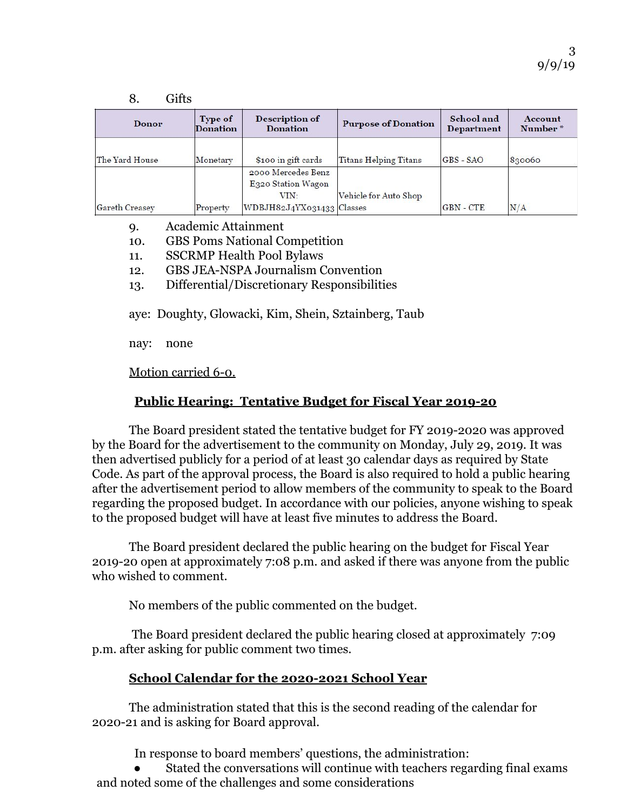| <b>Donor</b>   | Type of<br><b>Donation</b> | <b>Description of</b><br><b>Donation</b>         | <b>Purpose of Donation</b>   | School and<br><b>Department</b> | Account<br>Number* |  |
|----------------|----------------------------|--------------------------------------------------|------------------------------|---------------------------------|--------------------|--|
| The Yard House | Monetary                   | \$100 in gift cards                              | <b>Titans Helping Titans</b> | GBS - SAO                       | 830060             |  |
|                |                            | 2000 Mercedes Benz<br>E320 Station Wagon<br>VIN: | Vehicle for Auto Shop        |                                 |                    |  |
| Gareth Creasey | Property                   | WDBJH82J4YX031433 Classes                        |                              | <b>GBN-CTE</b>                  | N/A                |  |

- 9. Academic Attainment
- 10. GBS Poms National Competition
- 11. SSCRMP Health Pool Bylaws
- 12. GBS JEA-NSPA Journalism Convention
- 13. Differential/Discretionary Responsibilities

aye: Doughty, Glowacki, Kim, Shein, Sztainberg, Taub

nay: none

 $\mathbf{e}$   $\mathbf{e}$ 

Motion carried 6-0.

#### **Public Hearing: Tentative Budget for Fiscal Year 2019-20**

The Board president stated the tentative budget for FY 2019-2020 was approved by the Board for the advertisement to the community on Monday, July 29, 2019. It was then advertised publicly for a period of at least 30 calendar days as required by State Code. As part of the approval process, the Board is also required to hold a public hearing after the advertisement period to allow members of the community to speak to the Board regarding the proposed budget. In accordance with our policies, anyone wishing to speak to the proposed budget will have at least five minutes to address the Board.

The Board president declared the public hearing on the budget for Fiscal Year 2019-20 open at approximately 7:08 p.m. and asked if there was anyone from the public who wished to comment.

No members of the public commented on the budget.

 The Board president declared the public hearing closed at approximately 7:09 p.m. after asking for public comment two times.

#### **School Calendar for the 2020-2021 School Year**

The administration stated that this is the second reading of the calendar for 2020-21 and is asking for Board approval.

In response to board members' questions, the administration:

Stated the conversations will continue with teachers regarding final exams and noted some of the challenges and some considerations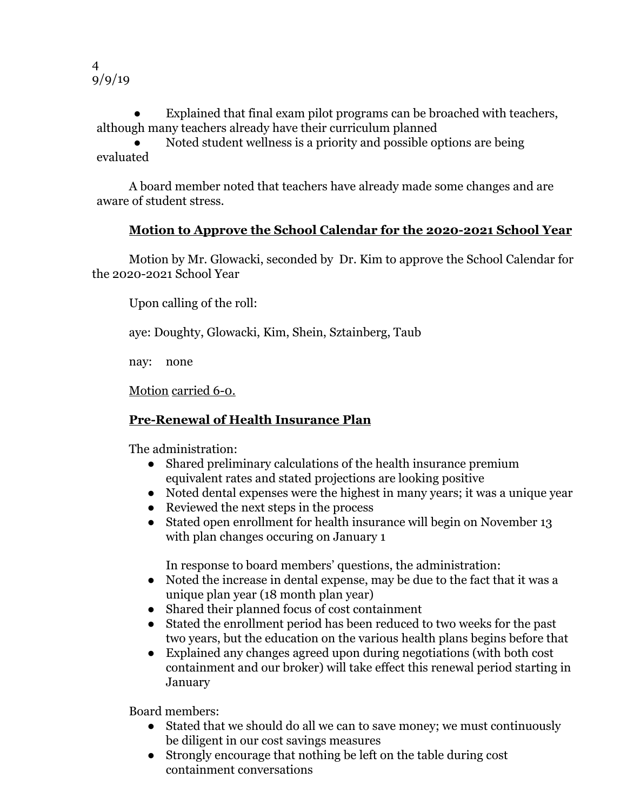4 9/9/19

Explained that final exam pilot programs can be broached with teachers, although many teachers already have their curriculum planned

Noted student wellness is a priority and possible options are being evaluated

A board member noted that teachers have already made some changes and are aware of student stress.

## **Motion to Approve the School Calendar for the 2020-2021 School Year**

Motion by Mr. Glowacki, seconded by Dr. Kim to approve the School Calendar for the 2020-2021 School Year

Upon calling of the roll:

aye: Doughty, Glowacki, Kim, Shein, Sztainberg, Taub

nay: none

Motion carried 6-0.

## **Pre-Renewal of Health Insurance Plan**

The administration:

- Shared preliminary calculations of the health insurance premium equivalent rates and stated projections are looking positive
- Noted dental expenses were the highest in many years; it was a unique year
- Reviewed the next steps in the process
- Stated open enrollment for health insurance will begin on November 13 with plan changes occuring on January 1

In response to board members' questions, the administration:

- Noted the increase in dental expense, may be due to the fact that it was a unique plan year (18 month plan year)
- Shared their planned focus of cost containment
- Stated the enrollment period has been reduced to two weeks for the past two years, but the education on the various health plans begins before that
- Explained any changes agreed upon during negotiations (with both cost containment and our broker) will take effect this renewal period starting in January

Board members:

- Stated that we should do all we can to save money; we must continuously be diligent in our cost savings measures
- Strongly encourage that nothing be left on the table during cost containment conversations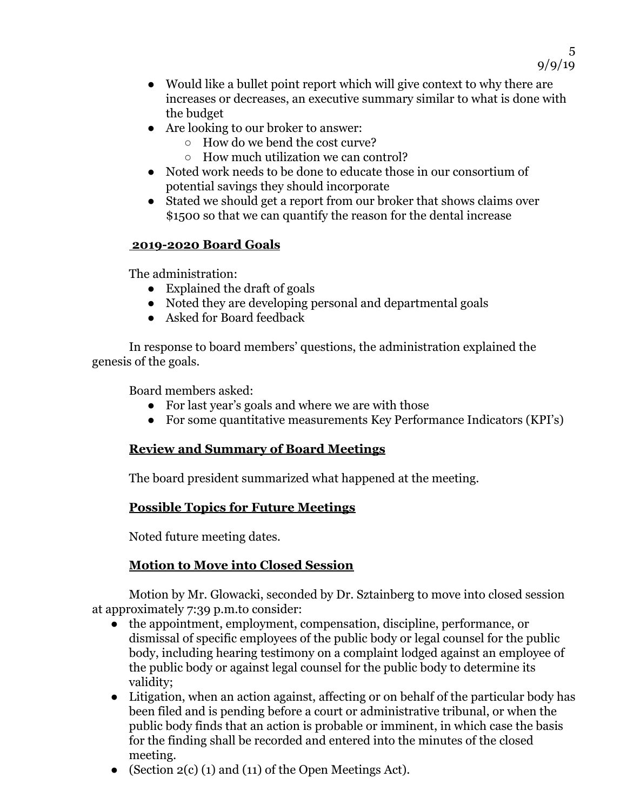• Would like a bullet point report which will give context to why there are increases or decreases, an executive summary similar to what is done with the budget

5

9/9/19

- Are looking to our broker to answer:
	- How do we bend the cost curve?
	- How much utilization we can control?
- Noted work needs to be done to educate those in our consortium of potential savings they should incorporate
- Stated we should get a report from our broker that shows claims over \$1500 so that we can quantify the reason for the dental increase

#### **2019-2020 Board Goals**

The administration:

- Explained the draft of goals
- Noted they are developing personal and departmental goals
- Asked for Board feedback

In response to board members' questions, the administration explained the genesis of the goals.

Board members asked:

- For last year's goals and where we are with those
- For some quantitative measurements Key Performance Indicators (KPI's)

# **Review and Summary of Board Meetings**

The board president summarized what happened at the meeting.

## **Possible Topics for Future Meetings**

Noted future meeting dates.

# **Motion to Move into Closed Session**

Motion by Mr. Glowacki, seconded by Dr. Sztainberg to move into closed session at approximately 7:39 p.m.to consider:

- the appointment, employment, compensation, discipline, performance, or dismissal of specific employees of the public body or legal counsel for the public body, including hearing testimony on a complaint lodged against an employee of the public body or against legal counsel for the public body to determine its validity;
- Litigation, when an action against, affecting or on behalf of the particular body has been filed and is pending before a court or administrative tribunal, or when the public body finds that an action is probable or imminent, in which case the basis for the finding shall be recorded and entered into the minutes of the closed meeting.
- (Section 2(c) (1) and (11) of the Open Meetings Act).